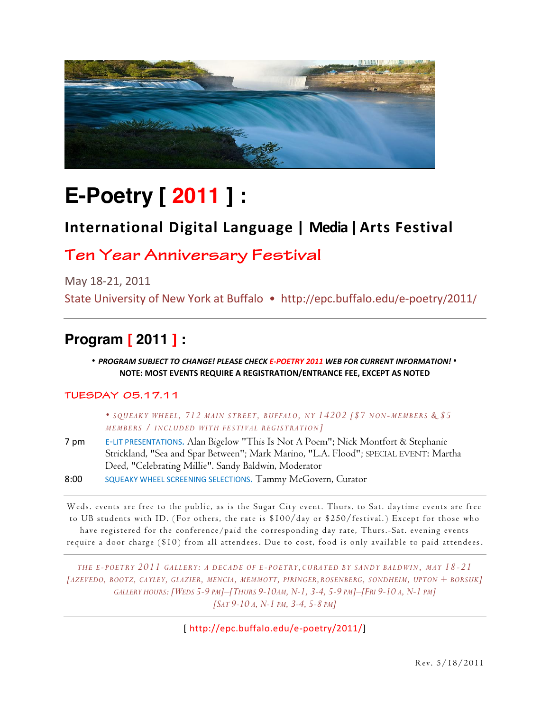

# **E-Poetry [ 2011 ] :**

## **International Digital\*Language |\*\*Media\*|\*Arts\*Festival**

### **Ten Year Anniversary Festival**

May 18-21, 2011

State University of New York at Buffalo • http://epc.buffalo.edu/e-poetry/2011/

### **Program [ 2011 ] :**

#### \* PROGRAM SUBJECT TO CHANGE! PLEASE CHECK E-POETRY 2011 WEB FOR CURRENT INFORMATION! \* **NOTE: MOST EVENTS REQUIRE A REGISTRATION/ENTRANCE FEE, EXCEPT AS NOTED**

### **TUESDAY 05.17.11**

 *SQUEAKY WHEEL , 712 MAIN STREET , BUFFALO, NY 14202 [\$7 NON-MEMBERS & \$5 MEMBERS / INCLUDED WITH FE STIVAL REGISTRATION]*

7 pm E-LIT PRESENTATIONS. Alan Bigelow "This Is Not A Poem"; Nick Montfort & Stephanie Strickland, "Sea and Spar Between"; Mark Marino, "L.A. Flood"; SPECIAL EVENT: Martha Deed, "Celebrating Millie". Sandy Baldwin, Moderator

8:00 SQUEAKY WHEEL SCREENING SELECTIONS. Tammy McGovern, Curator

Weds. events are free to the public, as is the Sugar City event. Thurs. to Sat. daytime events are free to UB students with ID. ( For others, the rate is \$100/day or \$250/festival.) Except for those who have registered for the conference/paid the corresponding day rate, Thurs.-Sat. evening events require a door charge (\$10) from all attendees. Due to cost, food is only available to paid attendees .

*THE E- POETRY 2011 GALLERY: A DECADE OF E -POETRY ,CURATED BY SANDY BALDWIN, MAY 18-21 [AZEVEDO, BOOTZ, CAYLEY, GLAZIER, MENCIA, MEMMOTT, PIRINGER,ROSENBERG, SONDHEIM, UPTON + BORSUK] GALLERY HOURS: [WEDS 5-9 PM]²[THURS 9-10AM, N-1, 3-4, 5-9 PM]²[FRI 9-10 A, N-1 PM] [SAT 9-10 A, N-1 PM, 3-4, 5-8 PM]*

[http://epc.buffalo.edu/e-poetry/2011/]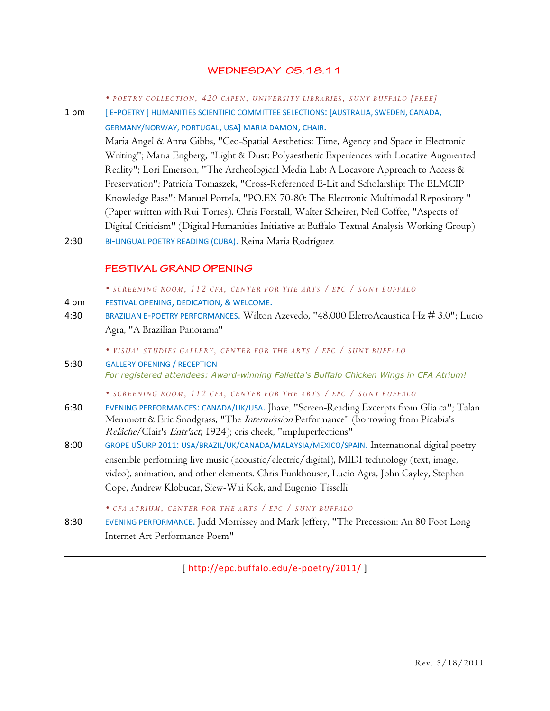| • POETRY COLLECTION, 420 CAPEN, UNIVERSITY LIBRARIES, SUNY BUFFALO [FREE] |  |  |  |  |  |  |
|---------------------------------------------------------------------------|--|--|--|--|--|--|
|---------------------------------------------------------------------------|--|--|--|--|--|--|

1 pm [ E-POETRY ] HUMANITIES SCIENTIFIC COMMITTEE SELECTIONS: [AUSTRALIA, SWEDEN, CANADA, GERMANY/NORWAY, PORTUGAL, USA] MARIA DAMON, CHAIR.

> Maria Angel & Anna Gibbs, "Geo-Spatial Aesthetics: Time, Agency and Space in Electronic Writing"; Maria Engberg, "Light & Dust: Polyaesthetic Experiences with Locative Augmented Reality"; Lori Emerson, "The Archeological Media Lab: A Locavore Approach to Access & Preservation"; Patricia Tomaszek, "Cross-Referenced E-Lit and Scholarship: The ELMCIP Knowledge Base"; Manuel Portela, "PO.EX 70-80: The Electronic Multimodal Repository " (Paper written with Rui Torres). Chris Forstall, Walter Scheirer, Neil Coffee, "Aspects of Digital Criticism" (Digital Humanities Initiative at Buffalo Textual Analysis Working Group)

2:30 BI-LINGUAL POETRY READING (CUBA). Reina María Rodríguez

#### **FESTIVAL GRAND OPENING**

*SCREENING ROOM, 112 CFA, CENTER FOR THE ARTS / EPC / SUNY BUFFALO*

- 4 pm FESTIVAL OPENING, DEDICATION, & WELCOME.
- 4:30 BRAZILIAN E-POETRY PERFORMANCES. Wilton Azevedo, "48.000 EletroAcaustica Hz # 3.0"; Lucio Agra, "A Brazilian Panorama"

*VISUAL STUDIES GALLE RY, CENTER FOR THE ARTS / EPC / SUNY BUFFALO*

5:30 GALLERY OPENING / RECEPTION For registered attendees: Award-winning Falletta's Buffalo Chicken Wings in CFA Atrium!

*SCREENING ROOM, 112 CFA, CENTER FOR THE ARTS / EPC / SUNY BUFFALO*

- 6:30 EVENING PERFORMANCES: CANADA/UK/USA. Jhave, "Screen-Reading Excerpts from Glia.ca"; Talan Memmott & Eric Snodgrass, "The *Intermission* Performance" (borrowing from Picabia's Relâche/Clair's Entr'act, 1924); cris cheek, "impluperfections"
- 8:00 GROPE USURP 2011: USA/BRAZIL/UK/CANADA/MALAYSIA/MEXICO/SPAIN. International digital poetry ensemble performing live music (acoustic/electric/digital), MIDI technology (text, image, video), animation, and other elements. Chris Funkhouser, Lucio Agra, John Cayley, Stephen Cope, Andrew Klobucar, Siew-Wai Kok, and Eugenio Tisselli

*CFA ATRIUM, CENTER FOR THE ARTS / EPC / SUNY BUFFALO*

8:30 EVENING PERFORMANCE. Judd Morrissey and Mark Jeffery, "The Precession: An 80 Foot Long Internet Art Performance Poem"

[ http://epc.buffalo.edu/e-poetry/2011/ ]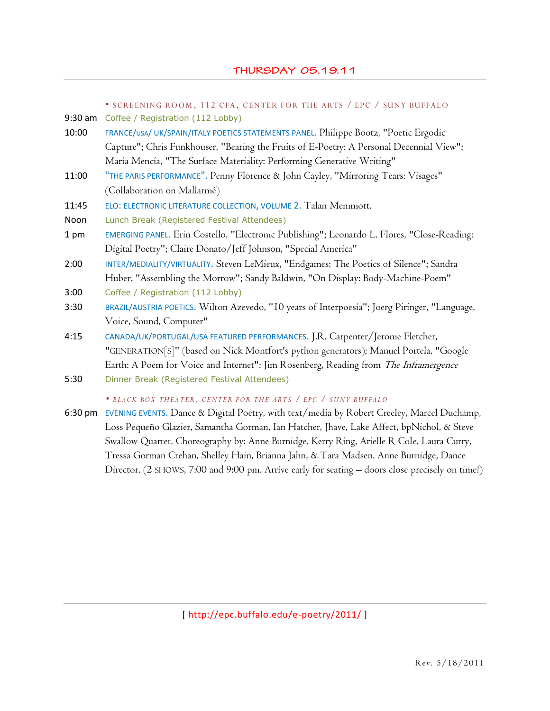SCREENING ROOM, 112 CFA, CENTER FOR THE ARTS / EPC / SUNY BUFFALO

- 9:30 am Coffee / Registration (112 Lobby)
- 10:00 FRANCE/USA/ UK/SPAIN/ITALY POETICS STATEMENTS PANEL. Philippe Bootz, "Poetic Ergodic Capture"; Chris Funkhouser, "Bearing the Fruits of E-Poetry: A Personal Decennial View"; María Mencía, "The Surface Materiality: Performing Generative Writing"
- 11:00 "THE PARIS PERFORMANCE". Penny Florence & John Cayley, "Mirroring Tears: Visages" (Collaboration on Mallarmé)
- 11:45 ELO: ELECTRONIC LITERATURE COLLECTION, VOLUME 2. Talan Memmott.
- Noon Lunch Break (Registered Festival Attendees)
- 1 pm EMERGING PANEL. Erin Costello, "Electronic Publishing"; Leonardo L. Flores, "Close-Reading: Digital Poetry"; Claire Donato/Jeff Johnson, "Special America"
- 2:00 INTER/MEDIALITY/VIRTUALITY. Steven LeMieux, "Endgames: The Poetics of Silence"; Sandra Huber, "Assembling the Morrow"; Sandy Baldwin, "On Display: Body-Machine-Poem"
- 3:00 Coffee / Registration (112 Lobby)
- 3:30 BRAZIL/AUSTRIA POETICS. Wilton Azevedo, "10 years of Interpoesía"; Joerg Piringer, "Language, Voice, Sound, Computer"
- 4:15 CANADA/UK/PORTUGAL/USA FEATURED PERFORMANCES. J.R. Carpenter/Jerome Fletcher, "GENERATION[S]" (based on Nick Montfort's python generators); Manuel Portela, "Google Earth: A Poem for Voice and Internet"; Jim Rosenberg, Reading from The Inframergence
- 5:30 Dinner Break (Registered Festival Attendees)

*BLACK BOX THEATER, CENTER FOR THE ARTS / EPC / SUNY BUFFALO*

6:30 pm EVENING EVENTS. Dance & Digital Poetry, with text/media by Robert Creeley, Marcel Duchamp, Loss Pequeño Glazier, Samantha Gorman, Ian Hatcher, Jhave, Lake Affect, bpNichol, & Steve Swallow Quartet. Choreography by: Anne Burnidge, Kerry Ring, Arielle R Cole, Laura Curry, Tressa Gorman Crehan, Shelley Hain, Brianna Jahn, & Tara Madsen. Anne Burnidge, Dance Director. (2 SHOWS, 7:00 and 9:00 pm. Arrive early for seating - doors close precisely on time!)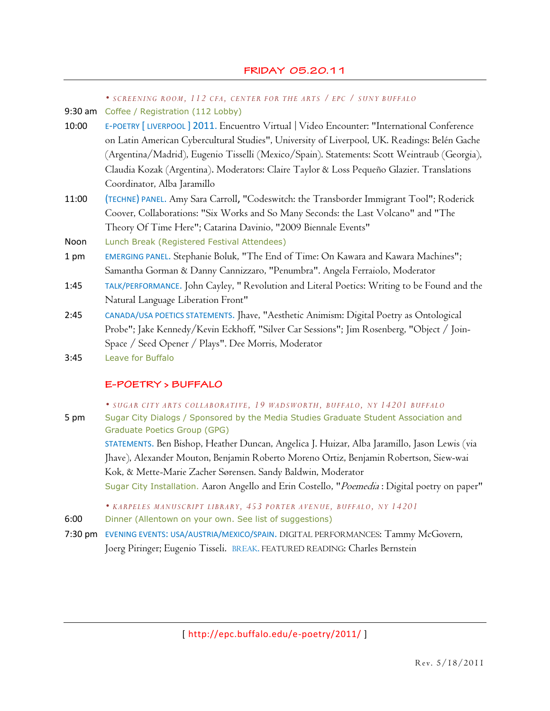|         | • SCREENING ROOM, 112 CFA, CENTER FOR THE ARTS / EPC / SUNY BUFFALO                          |
|---------|----------------------------------------------------------------------------------------------|
| 9:30 am | Coffee / Registration (112 Lobby)                                                            |
| 10:00   | E-POETRY [LIVERPOOL] 2011. Encuentro Virtual   Video Encounter: "International Conference    |
|         | on Latin American Cybercultural Studies", University of Liverpool, UK. Readings: Belén Gache |
|         | (Argentina/Madrid), Eugenio Tisselli (Mexico/Spain). Statements: Scott Weintraub (Georgia),  |
|         | Claudia Kozak (Argentina). Moderators: Claire Taylor & Loss Pequeño Glazier. Translations    |
|         | Coordinator, Alba Jaramillo                                                                  |
| 11:00   | (TECHNE) PANEL. Amy Sara Carroll, "Codeswitch: the Transborder Immigrant Tool"; Roderick     |
|         | Coover, Collaborations: "Six Works and So Many Seconds: the Last Volcano" and "The           |
|         | Theory Of Time Here"; Catarina Davinio, "2009 Biennale Events"                               |
| Noon    | Lunch Break (Registered Festival Attendees)                                                  |
| 1 pm    | EMERGING PANEL. Stephanie Boluk, "The End of Time: On Kawara and Kawara Machines";           |
|         | Samantha Gorman & Danny Cannizzaro, "Penumbra". Angela Ferraiolo, Moderator                  |
| 1:45    | TALK/PERFORMANCE. John Cayley, " Revolution and Literal Poetics: Writing to be Found and the |
|         | Natural Language Liberation Front"                                                           |
| 2:45    | CANADA/USA POETICS STATEMENTS. Jhave, "Aesthetic Animism: Digital Poetry as Ontological      |
|         | Probe"; Jake Kennedy/Kevin Eckhoff, "Silver Car Sessions"; Jim Rosenberg, "Object / Join-    |
|         | Space / Seed Opener / Plays". Dee Morris, Moderator                                          |
| 3:45    | Leave for Buffalo                                                                            |
|         |                                                                                              |

#### E-POETRY > BUFFALO

*SUGAR CITY ARTS COLL ABORATIVE, 19 WADSWORTH, BUFFALO, NY 14201 BUFFALO*

5 pm Sugar City Dialogs / Sponsored by the Media Studies Graduate Student Association and Graduate Poetics Group (GPG)

> STATEMENTS. Ben Bishop, Heather Duncan, Angelica J. Huizar, Alba Jaramillo, Jason Lewis (via Jhave), Alexander Mouton, Benjamin Roberto Moreno Ortiz, Benjamin Robertson, Siew-wai Kok, & Mette-Marie Zacher Sørensen. Sandy Baldwin, Moderator Sugar City Installation. Aaron Angello and Erin Costello, "Poemedia : Digital poetry on paper"

*KARPELES MANUSCRIPT LIBRARY, 453 PORTER AVENUE, BUFFALO, NY 14201*

6:00 Dinner (Allentown on your own. See list of suggestions)

7:30 pm EVENING EVENTS: USA/AUSTRIA/MEXICO/SPAIN. DIGITAL PERFORMANCES: Tammy McGovern, Joerg Piringer; Eugenio Tisseli. BREAK. FEATURED READING: Charles Bernstein